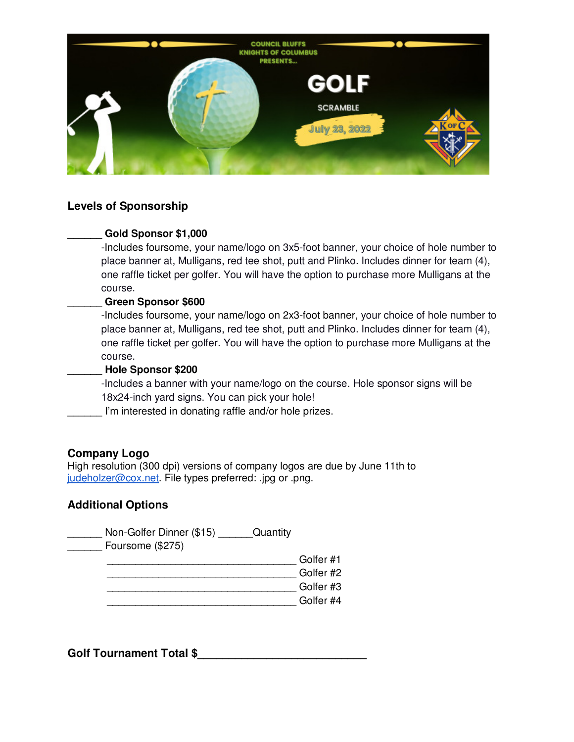

## **Levels of Sponsorship**

#### **\_\_\_\_\_\_ Gold Sponsor \$1,000**

-Includes foursome, your name/logo on 3x5-foot banner, your choice of hole number to place banner at, Mulligans, red tee shot, putt and Plinko. Includes dinner for team (4), one raffle ticket per golfer. You will have the option to purchase more Mulligans at the course.

#### **\_\_\_\_\_\_ Green Sponsor \$600**

-Includes foursome, your name/logo on 2x3-foot banner, your choice of hole number to place banner at, Mulligans, red tee shot, putt and Plinko. Includes dinner for team (4), one raffle ticket per golfer. You will have the option to purchase more Mulligans at the course.

#### **\_\_\_\_\_\_ Hole Sponsor \$200**

-Includes a banner with your name/logo on the course. Hole sponsor signs will be 18x24-inch yard signs. You can pick your hole!

\_\_\_\_\_\_ I'm interested in donating raffle and/or hole prizes.

#### **Company Logo**

High resolution (300 dpi) versions of company logos are due by June 11th to judeholzer@cox.net. File types preferred: .jpg or .png.

## **Additional Options**

Non-Golfer Dinner (\$15) Quantity \_\_\_\_\_\_ Foursome (\$275) Golfer #1 Golfer #2  $\Box$  Golfer #3  $\Box$  and  $\Box$  Golfer #4

Golf Tournament Total \$